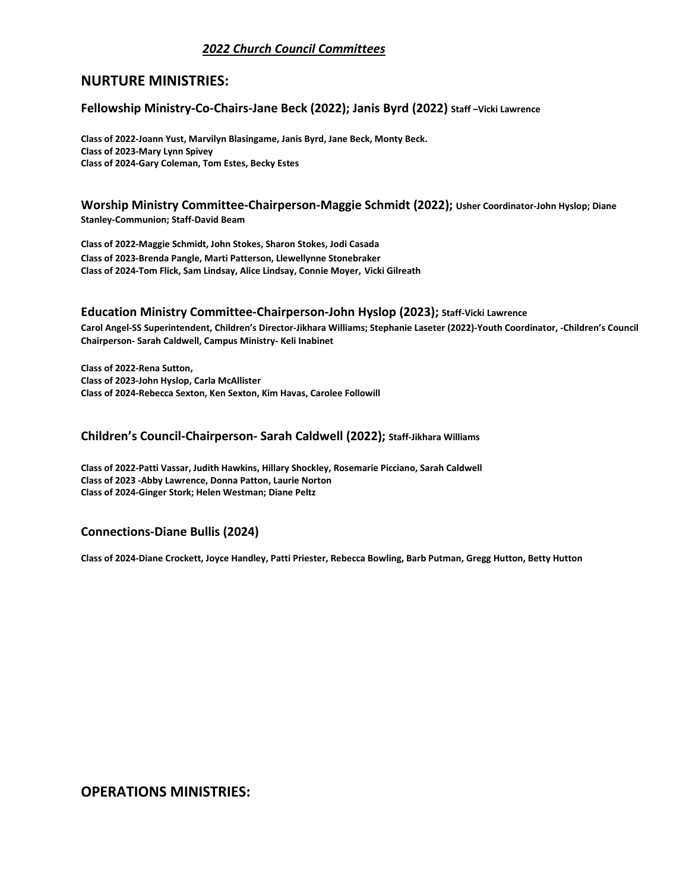# *2022 Church Council Committees*

# **NURTURE MINISTRIES:**

### **Fellowship Ministry-Co-Chairs-Jane Beck (2022); Janis Byrd (2022) Staff –Vicki Lawrence**

 **Class of 2022-Joann Yust, Marvilyn Blasingame, Janis Byrd, Jane Beck, Monty Beck. Class of 2023-Mary Lynn Spivey Class of 2024-Gary Coleman, Tom Estes, Becky Estes** 

**Worship Ministry Committee-Chairperson-Maggie Schmidt (2022); Usher Coordinator-John Hyslop; Diane**  Stanley-Communion; Staff-David Beam<br>Class of 2022-Maggie Schmidt, John Stokes, Sharon Stokes, Jodi Casada

**Class of 2023-Brenda Pangle, Marti Patterson, Llewellynne Stonebraker Class of 2024-Tom Flick, Sam Lindsay, Alice Lindsay, Connie Moyer, Vicki Gilreath**

# **Education Ministry Committee-Chairperson-John Hyslop (2023); Staff-Vicki Lawrence**

**Carol Angel-SS Superintendent, Children's Director-Jikhara Williams; Stephanie Laseter (2022)-Youth Coordinator, -Children's Council Chairperson- Sarah Caldwell, Campus Ministry- Keli Inabinet**

**Class of 2022-Rena Sutton, Class of 2023-John Hyslop, Carla McAllister Class of 2024-Rebecca Sexton, Ken Sexton, Kim Havas, Carolee Followill**

### **Children's Council-Chairperson- Sarah Caldwell (2022); Staff-Jikhara Williams**

**Class of 2022-Patti Vassar, Judith Hawkins, Hillary Shockley, Rosemarie Picciano, Sarah Caldwell Class of 2023 -Abby Lawrence, Donna Patton, Laurie Norton Class of 2024-Ginger Stork; Helen Westman; Diane Peltz**

## **Connections-Diane Bullis (2024)**

**Class of 2024-Diane Crockett, Joyce Handley, Patti Priester, Rebecca Bowling, Barb Putman, Gregg Hutton, Betty Hutton**

**OPERATIONS MINISTRIES:**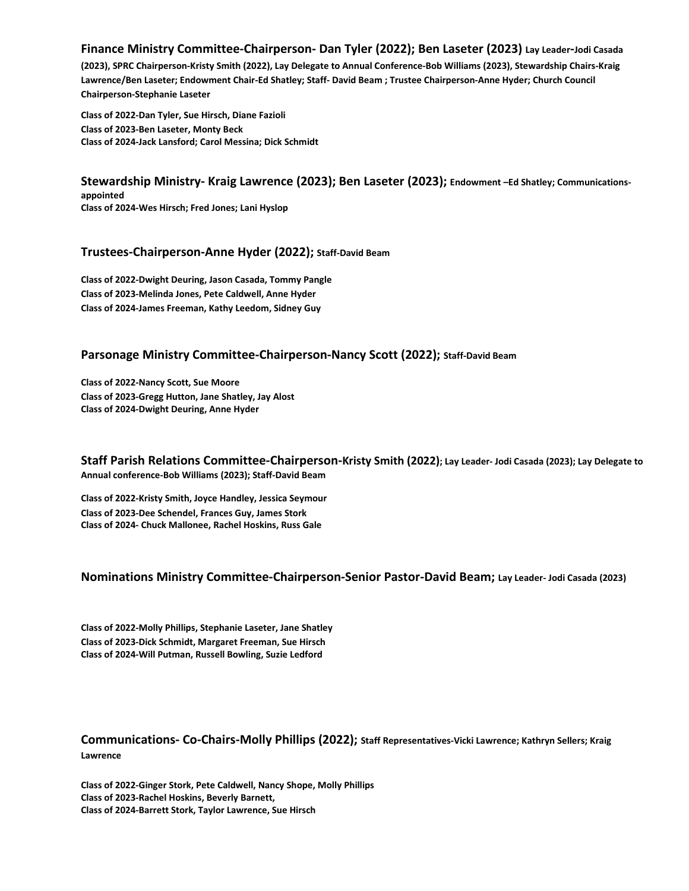# **Finance Ministry Committee-Chairperson- Dan Tyler (2022); Ben Laseter (2023) Lay Leader-Jodi Casada**

**(2023), SPRC Chairperson-Kristy Smith (2022), Lay Delegate to Annual Conference-Bob Williams (2023), Stewardship Chairs-Kraig Lawrence/Ben Laseter; Endowment Chair-Ed Shatley; Staff- David Beam ; Trustee Chairperson-Anne Hyder; Church Council Chairperson-Stephanie Laseter** 

**Class of 2022-Dan Tyler, Sue Hirsch, Diane Fazioli Class of 2023-Ben Laseter, Monty Beck Class of 2024-Jack Lansford; Carol Messina; Dick Schmidt**

**Stewardship Ministry- Kraig Lawrence (2023); Ben Laseter (2023); Endowment –Ed Shatley; Communicationsappointed Class of 2024-Wes Hirsch; Fred Jones; Lani Hyslop**

#### **Trustees-Chairperson-Anne Hyder (2022); Staff-David Beam**

**Class of 2022-Dwight Deuring, Jason Casada, Tommy Pangle Class of 2023-Melinda Jones, Pete Caldwell, Anne Hyder Class of 2024-James Freeman, Kathy Leedom, Sidney Guy**

#### **Parsonage Ministry Committee-Chairperson-Nancy Scott (2022); Staff-David Beam**

**Class of 2022-Nancy Scott, Sue Moore Class of 2023-Gregg Hutton, Jane Shatley, Jay Alost Class of 2024-Dwight Deuring, Anne Hyder**

**Staff Parish Relations Committee-Chairperson-Kristy Smith (2022); Lay Leader- Jodi Casada (2023); Lay Delegate to Annual conference-Bob Williams (2023); Staff-David Beam** 

**Class of 2022-Kristy Smith, Joyce Handley, Jessica Seymour Class of 2023-Dee Schendel, Frances Guy, James Stork Class of 2024- Chuck Mallonee, Rachel Hoskins, Russ Gale**

#### **Nominations Ministry Committee-Chairperson-Senior Pastor-David Beam; Lay Leader- Jodi Casada (2023)**

**Class of 2022-Molly Phillips, Stephanie Laseter, Jane Shatley Class of 2023-Dick Schmidt, Margaret Freeman, Sue Hirsch Class of 2024-Will Putman, Russell Bowling, Suzie Ledford**

## **Communications- Co-Chairs-Molly Phillips (2022); Staff Representatives-Vicki Lawrence; Kathryn Sellers; Kraig Lawrence**

**Class of 2022-Ginger Stork, Pete Caldwell, Nancy Shope, Molly Phillips Class of 2023-Rachel Hoskins, Beverly Barnett, Class of 2024-Barrett Stork, Taylor Lawrence, Sue Hirsch**